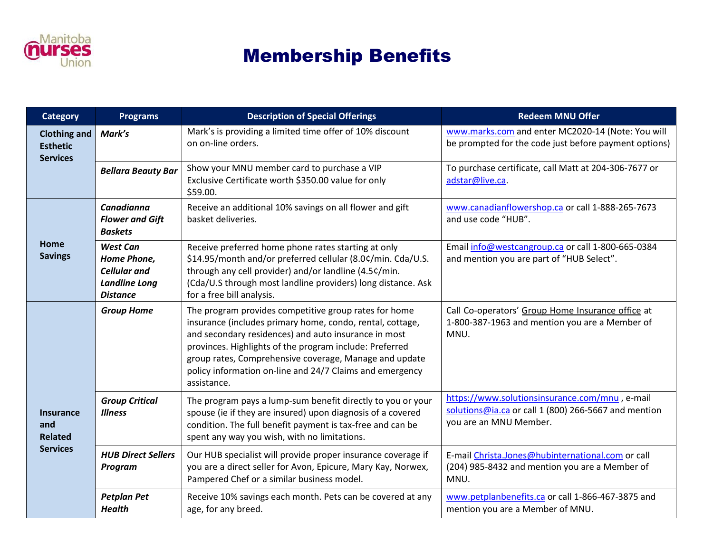

## Membership Benefits

| <b>Category</b>                                              | <b>Programs</b>                                                                                  | <b>Description of Special Offerings</b>                                                                                                                                                                                                                                                                                                                                    | <b>Redeem MNU Offer</b>                                                                                                          |
|--------------------------------------------------------------|--------------------------------------------------------------------------------------------------|----------------------------------------------------------------------------------------------------------------------------------------------------------------------------------------------------------------------------------------------------------------------------------------------------------------------------------------------------------------------------|----------------------------------------------------------------------------------------------------------------------------------|
| Clothing and<br><b>Esthetic</b><br><b>Services</b>           | Mark's                                                                                           | Mark's is providing a limited time offer of 10% discount<br>on on-line orders.                                                                                                                                                                                                                                                                                             | www.marks.com and enter MC2020-14 (Note: You will<br>be prompted for the code just before payment options)                       |
|                                                              | <b>Bellara Beauty Bar</b>                                                                        | Show your MNU member card to purchase a VIP<br>Exclusive Certificate worth \$350.00 value for only<br>\$59.00.                                                                                                                                                                                                                                                             | To purchase certificate, call Matt at 204-306-7677 or<br>adstar@live.ca.                                                         |
| Home<br><b>Savings</b>                                       | Canadianna<br><b>Flower and Gift</b><br><b>Baskets</b>                                           | Receive an additional 10% savings on all flower and gift<br>basket deliveries.                                                                                                                                                                                                                                                                                             | www.canadianflowershop.ca or call 1-888-265-7673<br>and use code "HUB".                                                          |
|                                                              | <b>West Can</b><br>Home Phone,<br><b>Cellular</b> and<br><b>Landline Long</b><br><b>Distance</b> | Receive preferred home phone rates starting at only<br>\$14.95/month and/or preferred cellular (8.0¢/min. Cda/U.S.<br>through any cell provider) and/or landline (4.5¢/min.<br>(Cda/U.S through most landline providers) long distance. Ask<br>for a free bill analysis.                                                                                                   | Email info@westcangroup.ca or call 1-800-665-0384<br>and mention you are part of "HUB Select".                                   |
| <b>Insurance</b><br>and<br><b>Related</b><br><b>Services</b> | <b>Group Home</b>                                                                                | The program provides competitive group rates for home<br>insurance (includes primary home, condo, rental, cottage,<br>and secondary residences) and auto insurance in most<br>provinces. Highlights of the program include: Preferred<br>group rates, Comprehensive coverage, Manage and update<br>policy information on-line and 24/7 Claims and emergency<br>assistance. | Call Co-operators' Group Home Insurance office at<br>1-800-387-1963 and mention you are a Member of<br>MNU.                      |
|                                                              | <b>Group Critical</b><br><b>Illness</b>                                                          | The program pays a lump-sum benefit directly to you or your<br>spouse (ie if they are insured) upon diagnosis of a covered<br>condition. The full benefit payment is tax-free and can be<br>spent any way you wish, with no limitations.                                                                                                                                   | https://www.solutionsinsurance.com/mnu, e-mail<br>solutions@ia.ca or call 1 (800) 266-5667 and mention<br>you are an MNU Member. |
|                                                              | <b>HUB Direct Sellers</b><br>Program                                                             | Our HUB specialist will provide proper insurance coverage if<br>you are a direct seller for Avon, Epicure, Mary Kay, Norwex,<br>Pampered Chef or a similar business model.                                                                                                                                                                                                 | E-mail Christa.Jones@hubinternational.com or call<br>(204) 985-8432 and mention you are a Member of<br>MNU.                      |
|                                                              | <b>Petplan Pet</b><br><b>Health</b>                                                              | Receive 10% savings each month. Pets can be covered at any<br>age, for any breed.                                                                                                                                                                                                                                                                                          | www.petplanbenefits.ca or call 1-866-467-3875 and<br>mention you are a Member of MNU.                                            |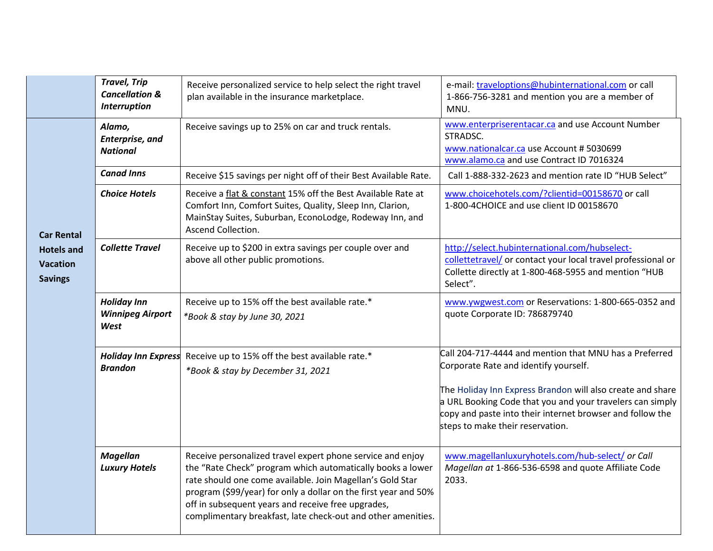|                                                                             | <b>Travel, Trip</b><br><b>Cancellation &amp;</b><br><b>Interruption</b> | Receive personalized service to help select the right travel<br>plan available in the insurance marketplace.                                                                                                                                                                                                                                                                   | e-mail: traveloptions@hubinternational.com or call<br>1-866-756-3281 and mention you are a member of<br>MNU.                                                                                                                                                                                                                |
|-----------------------------------------------------------------------------|-------------------------------------------------------------------------|--------------------------------------------------------------------------------------------------------------------------------------------------------------------------------------------------------------------------------------------------------------------------------------------------------------------------------------------------------------------------------|-----------------------------------------------------------------------------------------------------------------------------------------------------------------------------------------------------------------------------------------------------------------------------------------------------------------------------|
| <b>Car Rental</b><br><b>Hotels and</b><br><b>Vacation</b><br><b>Savings</b> | Alamo,<br>Enterprise, and<br><b>National</b>                            | Receive savings up to 25% on car and truck rentals.                                                                                                                                                                                                                                                                                                                            | www.enterpriserentacar.ca and use Account Number<br>STRADSC.<br>www.nationalcar.ca use Account #5030699<br>www.alamo.ca and use Contract ID 7016324                                                                                                                                                                         |
|                                                                             | <b>Canad Inns</b>                                                       | Receive \$15 savings per night off of their Best Available Rate.                                                                                                                                                                                                                                                                                                               | Call 1-888-332-2623 and mention rate ID "HUB Select"                                                                                                                                                                                                                                                                        |
|                                                                             | <b>Choice Hotels</b>                                                    | Receive a flat & constant 15% off the Best Available Rate at<br>Comfort Inn, Comfort Suites, Quality, Sleep Inn, Clarion,<br>MainStay Suites, Suburban, EconoLodge, Rodeway Inn, and<br>Ascend Collection.                                                                                                                                                                     | www.choicehotels.com/?clientid=00158670 or call<br>1-800-4CHOICE and use client ID 00158670                                                                                                                                                                                                                                 |
|                                                                             | <b>Collette Travel</b>                                                  | Receive up to \$200 in extra savings per couple over and<br>above all other public promotions.                                                                                                                                                                                                                                                                                 | http://select.hubinternational.com/hubselect-<br>collettetravel/ or contact your local travel professional or<br>Collette directly at 1-800-468-5955 and mention "HUB<br>Select".                                                                                                                                           |
|                                                                             | <b>Holiday Inn</b><br><b>Winnipeg Airport</b><br>West                   | Receive up to 15% off the best available rate.*<br>*Book & stay by June 30, 2021                                                                                                                                                                                                                                                                                               | www.ywgwest.com or Reservations: 1-800-665-0352 and<br>quote Corporate ID: 786879740                                                                                                                                                                                                                                        |
|                                                                             | <b>Holiday Inn Express</b><br><b>Brandon</b>                            | Receive up to 15% off the best available rate.*<br>*Book & stay by December 31, 2021                                                                                                                                                                                                                                                                                           | Call 204-717-4444 and mention that MNU has a Preferred<br>Corporate Rate and identify yourself.<br>The Holiday Inn Express Brandon will also create and share<br>a URL Booking Code that you and your travelers can simply<br>copy and paste into their internet browser and follow the<br>steps to make their reservation. |
|                                                                             | <b>Magellan</b><br><b>Luxury Hotels</b>                                 | Receive personalized travel expert phone service and enjoy<br>the "Rate Check" program which automatically books a lower<br>rate should one come available. Join Magellan's Gold Star<br>program (\$99/year) for only a dollar on the first year and 50%<br>off in subsequent years and receive free upgrades,<br>complimentary breakfast, late check-out and other amenities. | www.magellanluxuryhotels.com/hub-select/ or Call<br>Magellan at 1-866-536-6598 and quote Affiliate Code<br>2033.                                                                                                                                                                                                            |